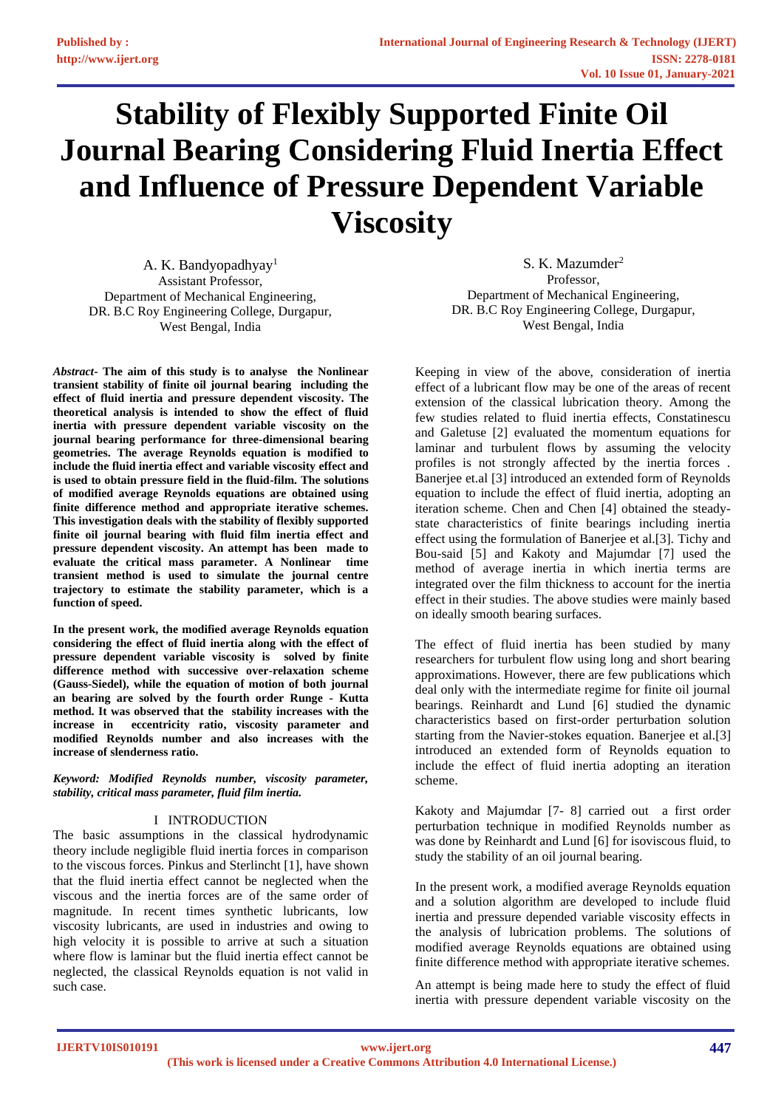# **Stability of Flexibly Supported Finite Oil Journal Bearing Considering Fluid Inertia Effect and Influence of Pressure Dependent Variable Viscosity**

A. K. Bandyopadhyay<sup>1</sup> Assistant Professor, Department of Mechanical Engineering, DR. B.C Roy Engineering College, Durgapur, West Bengal, India

*Abstract***- The aim of this study is to analyse the Nonlinear transient stability of finite oil journal bearing including the effect of fluid inertia and pressure dependent viscosity. The theoretical analysis is intended to show the effect of fluid inertia with pressure dependent variable viscosity on the journal bearing performance for three-dimensional bearing geometries. The average Reynolds equation is modified to include the fluid inertia effect and variable viscosity effect and is used to obtain pressure field in the fluid-film. The solutions of modified average Reynolds equations are obtained using finite difference method and appropriate iterative schemes. This investigation deals with the stability of flexibly supported finite oil journal bearing with fluid film inertia effect and pressure dependent viscosity. An attempt has been made to evaluate the critical mass parameter. A Nonlinear time transient method is used to simulate the journal centre trajectory to estimate the stability parameter, which is a function of speed.**

**In the present work, the modified average Reynolds equation considering the effect of fluid inertia along with the effect of pressure dependent variable viscosity is solved by finite difference method with successive over-relaxation scheme (Gauss-Siedel), while the equation of motion of both journal an bearing are solved by the fourth order Runge - Kutta method. It was observed that the stability increases with the increase in eccentricity ratio, viscosity parameter and modified Reynolds number and also increases with the increase of slenderness ratio.**

*Keyword: Modified Reynolds number, viscosity parameter, stability, critical mass parameter, fluid film inertia.*

## I INTRODUCTION

The basic assumptions in the classical hydrodynamic theory include negligible fluid inertia forces in comparison to the viscous forces. Pinkus and Sterlincht [1], have shown that the fluid inertia effect cannot be neglected when the viscous and the inertia forces are of the same order of magnitude. In recent times synthetic lubricants, low viscosity lubricants, are used in industries and owing to high velocity it is possible to arrive at such a situation where flow is laminar but the fluid inertia effect cannot be neglected, the classical Reynolds equation is not valid in such case.

S. K. Mazumder<sup>2</sup> Professor, Department of Mechanical Engineering, DR. B.C Roy Engineering College, Durgapur, West Bengal, India

Keeping in view of the above, consideration of inertia effect of a lubricant flow may be one of the areas of recent extension of the classical lubrication theory. Among the few studies related to fluid inertia effects, Constatinescu and Galetuse [2] evaluated the momentum equations for laminar and turbulent flows by assuming the velocity profiles is not strongly affected by the inertia forces . Banerjee et.al [3] introduced an extended form of Reynolds equation to include the effect of fluid inertia, adopting an iteration scheme. Chen and Chen [4] obtained the steadystate characteristics of finite bearings including inertia effect using the formulation of Banerjee et al.[3]. Tichy and Bou-said [5] and Kakoty and Majumdar [7] used the method of average inertia in which inertia terms are integrated over the film thickness to account for the inertia effect in their studies. The above studies were mainly based on ideally smooth bearing surfaces.

The effect of fluid inertia has been studied by many researchers for turbulent flow using long and short bearing approximations. However, there are few publications which deal only with the intermediate regime for finite oil journal bearings. Reinhardt and Lund [6] studied the dynamic characteristics based on first-order perturbation solution starting from the Navier-stokes equation. Banerjee et al.[3] introduced an extended form of Reynolds equation to include the effect of fluid inertia adopting an iteration scheme.

Kakoty and Majumdar [7- 8] carried out a first order perturbation technique in modified Reynolds number as was done by Reinhardt and Lund [6] for isoviscous fluid, to study the stability of an oil journal bearing.

In the present work, a modified average Reynolds equation and a solution algorithm are developed to include fluid inertia and pressure depended variable viscosity effects in the analysis of lubrication problems. The solutions of modified average Reynolds equations are obtained using finite difference method with appropriate iterative schemes.

An attempt is being made here to study the effect of fluid inertia with pressure dependent variable viscosity on the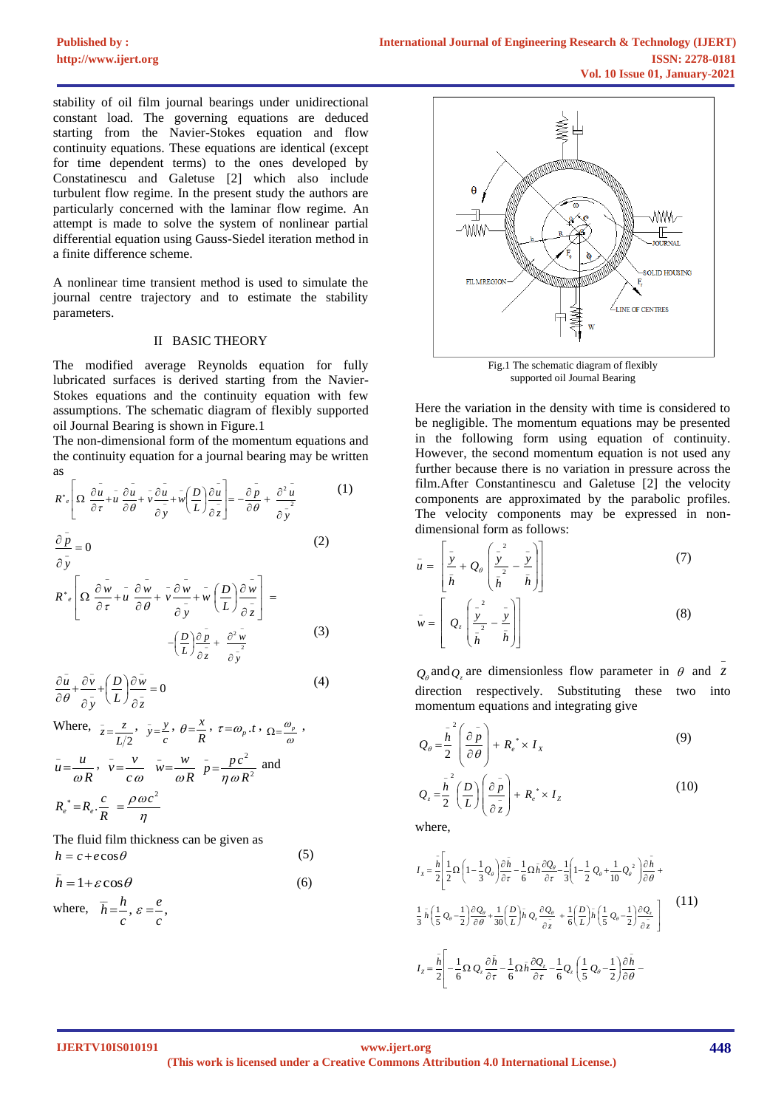stability of oil film journal bearings under unidirectional constant load. The governing equations are deduced starting from the Navier-Stokes equation and flow continuity equations. These equations are identical (except for time dependent terms) to the ones developed by Constatinescu and Galetuse [2] which also include turbulent flow regime. In the present study the authors are particularly concerned with the laminar flow regime. An attempt is made to solve the system of nonlinear partial differential equation using Gauss-Siedel iteration method in a finite difference scheme.

A nonlinear time transient method is used to simulate the journal centre trajectory and to estimate the stability parameters.

## II BASIC THEORY

The modified average Reynolds equation for fully lubricated surfaces is derived starting from the Navier-Stokes equations and the continuity equation with few assumptions. The schematic diagram of flexibly supported oil Journal Bearing is shown in Figure.1

The non-dimensional form of the momentum equations and the continuity equation for a journal bearing may be written as

$$
R^* \left[ \Omega \frac{\partial u}{\partial \tau} + u \frac{\partial u}{\partial \theta} + v \frac{\partial u}{\partial \bar{y}} + w \left( \frac{D}{L} \right) \frac{\partial u}{\partial \bar{z}} \right] = -\frac{\partial \bar{p}}{\partial \theta} + \frac{\partial^2 u}{\partial \bar{y}^2}
$$
(1)

(2)

(5)

$$
\frac{\partial p}{\partial y} = 0
$$

$$
R^*_{e} \left[ \Omega \frac{\partial \overline{w}}{\partial \tau} + \overline{u} \frac{\partial \overline{w}}{\partial \theta} + \overline{v} \frac{\partial \overline{w}}{\partial \overline{y}} + \overline{w} \left( \frac{D}{L} \right) \frac{\partial \overline{w}}{\partial \overline{z}} \right] = -\left( \frac{D}{L} \right) \frac{\partial \overline{p}}{\partial \overline{z}} + \frac{\partial^2 \overline{w}}{\partial \overline{y}} \tag{3}
$$

$$
\frac{\partial \bar{u}}{\partial \theta} + \frac{\partial \bar{v}}{\partial \bar{y}} + \left(\frac{D}{L}\right) \frac{\partial \bar{w}}{\partial \bar{z}} = 0
$$
\n(4)

Where, 
$$
\bar{z} = \frac{z}{L/2}
$$
,  $\bar{y} = \frac{y}{c}$ ,  $\theta = \frac{x}{R}$ ,  $\tau = \omega_p . t$ ,  $\Omega = \frac{\omega_p}{\omega}$ ,  
\n $\bar{u} = \frac{u}{\omega R}$ ,  $\bar{v} = \frac{v}{c\omega}$ ,  $\bar{w} = \frac{w}{\omega R}$ ,  $\bar{p} = \frac{p c^2}{\eta \omega R^2}$  and  
\n $R_e^* = R_e \cdot \frac{c}{R} = \frac{\rho \omega c^2}{\eta}$ 

The fluid film thickness can be given as  $h = c + e \cos \theta$ 

$$
\bar{h} = 1 + \varepsilon \cos \theta \tag{6}
$$

where,  $\overline{h} = \frac{h}{h}, \varepsilon = \frac{e}{h}$ , *c e c*  $\overline{h} = \frac{h}{h}$ ,  $\varepsilon =$ 



supported oil Journal Bearing

Here the variation in the density with time is considered to be negligible. The momentum equations may be presented in the following form using equation of continuity. However, the second momentum equation is not used any further because there is no variation in pressure across the film.After Constantinescu and Galetuse [2] the velocity components are approximated by the parabolic profiles. The velocity components may be expressed in nondimensional form as follows:

$$
\bar{u} = \left[\frac{\bar{y}}{\bar{h}} + Q_{\theta} \left(\frac{\bar{y}^2}{\bar{h}^2} - \frac{\bar{y}}{\bar{h}}\right)\right]
$$
\n
$$
\bar{w} = \left[Q_z \left(\frac{\bar{y}^2}{\bar{h}^2} - \frac{\bar{y}}{\bar{h}}\right)\right]
$$
\n(3)

 $Q_{\theta}$  and  $Q_{z}$  are dimensionless flow parameter in  $\theta$  and z direction respectively. Substituting these two into momentum equations and integrating give

$$
Q_{\theta} = \frac{\bar{h}^{2}}{2} \left( \frac{\partial \bar{p}}{\partial \theta} \right) + R_{e}^{*} \times I_{X}
$$
\n
$$
Q_{z} = \frac{\bar{h}^{2}}{2} \left( \frac{D}{L} \right) \left( \frac{\partial \bar{p}}{\partial z} \right) + R_{e}^{*} \times I_{Z}
$$
\n(10)

where,

$$
I_{x} = \frac{\bar{h}}{2} \left[ \frac{1}{2} \Omega \left( 1 - \frac{1}{3} Q_{\theta} \right) \frac{\partial \bar{h}}{\partial \tau} - \frac{1}{6} \Omega \bar{h} \frac{\partial Q_{\theta}}{\partial \tau} - \frac{1}{3} \left( 1 - \frac{1}{2} Q_{\theta} + \frac{1}{10} Q_{\theta}^{2} \right) \frac{\partial \bar{h}}{\partial \theta} + \frac{1}{3} \left( \frac{1}{5} Q_{\theta} - \frac{1}{2} \right) \frac{\partial Q_{\theta}}{\partial \theta} + \frac{1}{30} \left( \frac{D}{L} \right) \bar{h} Q_{z} \frac{\partial Q_{\theta}}{\partial z} + \frac{1}{6} \left( \frac{D}{L} \right) \bar{h} \left( \frac{1}{5} Q_{\theta} - \frac{1}{2} \right) \frac{\partial Q_{z}}{\partial z} \right]
$$
(11)  

$$
I_{z} = \frac{\bar{h}}{2} \left[ -\frac{1}{6} \Omega Q_{z} \frac{\partial \bar{h}}{\partial \tau} - \frac{1}{6} \Omega \bar{h} \frac{\partial Q_{z}}{\partial \tau} - \frac{1}{6} Q_{z} \left( \frac{1}{5} Q_{\theta} - \frac{1}{2} \right) \frac{\partial \bar{h}}{\partial \theta} - \frac{1}{6} \Omega \bar{h} \frac{\partial Q_{z}}{\partial \theta} \right]
$$

 $\overline{a}$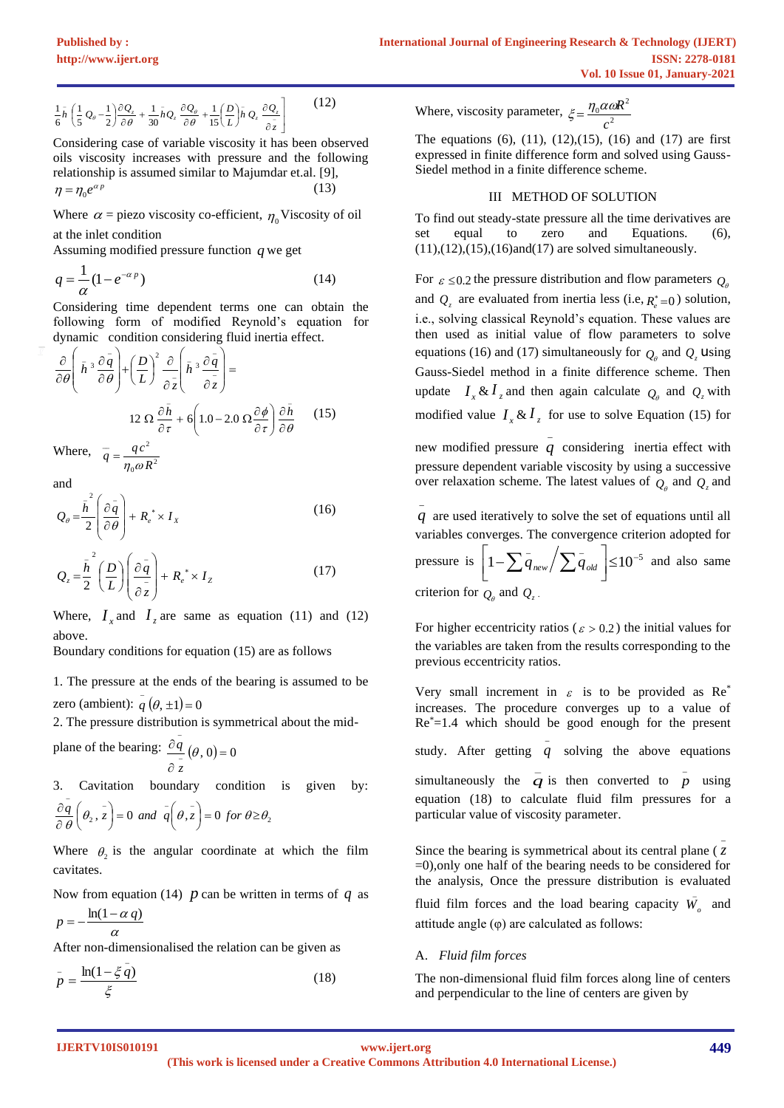$$
\frac{1}{6}\bar{h}\left(\frac{1}{5}Q_{\theta}-\frac{1}{2}\right)\frac{\partial Q_{z}}{\partial \theta}+\frac{1}{30}\bar{h}Q_{z}\frac{\partial Q_{\theta}}{\partial \theta}+\frac{1}{15}\left(\frac{D}{L}\right)\bar{h}Q_{z}\frac{\partial Q_{z}}{\partial \bar{z}}\right]
$$
(12)

Considering case of variable viscosity it has been observed oils viscosity increases with pressure and the following relationship is assumed similar to Majumdar et.al. [9],  $\eta = \eta_0 e^{\alpha p}$ (13)

Where  $\alpha$  = piezo viscosity co-efficient,  $\eta_0$  Viscosity of oil at the inlet condition

Assuming modified pressure function *q* we get

$$
q = \frac{1}{\alpha} (1 - e^{-\alpha p})
$$
\n(14)

Considering time dependent terms one can obtain the following form of modified Reynold's equation for dynamic condition considering fluid inertia effect.

$$
\frac{\partial}{\partial \theta} \left( \bar{h}^3 \frac{\partial \bar{q}}{\partial \theta} \right) + \left( \frac{D}{L} \right)^2 \frac{\partial}{\partial \bar{z}} \left( \bar{h}^3 \frac{\partial \bar{q}}{\partial \bar{z}} \right) =
$$
  
12 \Omega  $\frac{\partial \bar{h}}{\partial \tau} + 6 \left( 1.0 - 2.0 \Omega \frac{\partial \phi}{\partial \tau} \right) \frac{\partial \bar{h}}{\partial \theta}$  (15)  
Where,  $\bar{q} = \frac{q c^2}{\eta_0 \omega R^2}$ 

and

$$
Q_{\theta} = \frac{\bar{h}^2}{2} \left( \frac{\partial \bar{q}}{\partial \theta} \right) + R_e^* \times I_x \tag{16}
$$

$$
Q_z = \frac{\bar{h}^2}{2} \left(\frac{D}{L}\right) \left(\frac{\partial \bar{q}}{\partial z}\right) + R_e^* \times I_z \tag{17}
$$

Where,  $I_x$  and  $I_z$  are same as equation (11) and (12) above.

Boundary conditions for equation (15) are as follows

1. The pressure at the ends of the bearing is assumed to be zero (ambient):  $q(\theta, \pm 1) = 0$ 

2. The pressure distribution is symmetrical about the mid-

plane of the bearing:  $\frac{\partial q}{\partial x}(\theta, 0) = 0$  $\partial$ д − −  $\theta$ *z q*

3. Cavitation boundary condition is given by: −

$$
\frac{\partial q}{\partial \theta} \left( \theta_2, \bar{z} \right) = 0 \text{ and } \bar{q} \left( \theta, \bar{z} \right) = 0 \text{ for } \theta \ge \theta_2
$$

Where  $\theta_2$  is the angular coordinate at which the film cavitates.

Now from equation (14)  $p$  can be written in terms of  $q$  as  $p = -\frac{\ln(1 - \alpha q)}{q}$ 

After non-dimensionalised the relation can be given as 
$$
\frac{\alpha}{\alpha}
$$

$$
\bar{p} = \frac{\ln(1 - \xi \bar{q})}{\xi} \tag{18}
$$

Where, viscosity parameter,  $\xi = \frac{\eta_0 \alpha a}{a^2}$  $\alpha$ <sub>0</sub> $\alpha$ <sub>0</sub> $R^2$ *c*  $\xi = \frac{\eta_0 \alpha \omega R}{r}$ 

The equations  $(6)$ ,  $(11)$ ,  $(12)$ ,  $(15)$ ,  $(16)$  and  $(17)$  are first expressed in finite difference form and solved using Gauss-Siedel method in a finite difference scheme.

#### III METHOD OF SOLUTION

To find out steady-state pressure all the time derivatives are set equal to zero and Equations. (6),  $(11),(12),(15),(16)$ and $(17)$  are solved simultaneously.

For  $\varepsilon \leq 0.2$  the pressure distribution and flow parameters  $Q_{\theta}$ and  $Q_z$  are evaluated from inertia less (i.e,  $R_e^* = 0$ ) solution, i.e., solving classical Reynold's equation. These values are then used as initial value of flow parameters to solve equations (16) and (17) simultaneously for  $Q_\theta$  and  $Q_z$  using Gauss-Siedel method in a finite difference scheme. Then update  $I_x \& I_z$  and then again calculate  $Q_\theta$  and  $Q_z$  with modified value  $I_x \& I_z$  for use to solve Equation (15) for \_

new modified pressure  $q$  considering inertia effect with pressure dependent variable viscosity by using a successive over relaxation scheme. The latest values of  $Q_{\theta}$  and  $Q_{z}$  and

\_ *q* are used iteratively to solve the set of equations until all variables converges. The convergence criterion adopted for

pressure is  $\left[1-\sum \overline{q}_{new} / \sum \overline{q}_{old}\right] \le 10^{-5}$  $\overline{\phantom{a}}$ L  $\left| 1-\sum \bar{q}_{\text{new}} / \sum \bar{q}_{\text{old}} \right| \le 10^{-5}$  and also same criterion for  $Q_{\theta}$  and  $Q_{z}$ .

For higher eccentricity ratios ( $\varepsilon > 0.2$ ) the initial values for the variables are taken from the results corresponding to the previous eccentricity ratios.

Very small increment in  $\varepsilon$  is to be provided as Re<sup>\*</sup> increases. The procedure converges up to a value of  $Re^* = 1.4$  which should be good enough for the present study. After getting  $q$  solving the above equations \_ simultaneously the  $\overline{q}$  is then converted to  $\overline{p}$  using \_ equation (18) to calculate fluid film pressures for a particular value of viscosity parameter.  $\overline{a}$ 

Since the bearing is symmetrical about its central plane ( *z* =0),only one half of the bearing needs to be considered for the analysis, Once the pressure distribution is evaluated fluid film forces and the load bearing capacity  $W_0$  and \_ attitude angle  $(\varphi)$  are calculated as follows:

## A. *Fluid film forces*

The non-dimensional fluid film forces along line of centers and perpendicular to the line of centers are given by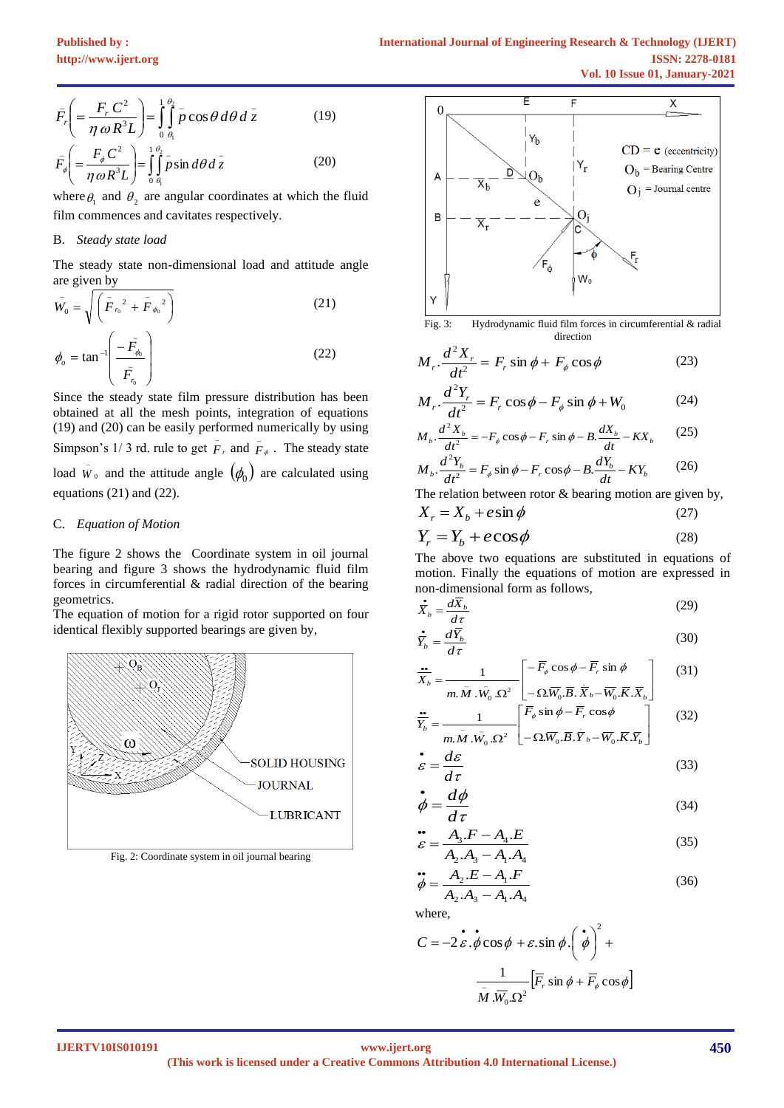$$
\bar{F}_r \left( = \frac{F_r C^2}{\eta \omega R^3 L} \right) = \int_0^{\theta_2} \bar{p} \cos \theta d\theta d\bar{z}
$$
(19)

$$
\bar{F}_{\phi} = \frac{F_{\phi}C}{\eta \omega R^3 L} = \iint_{\theta} \bar{p} \sin d\theta d\bar{z}
$$
 (20)

where  $\theta_1$  and  $\theta_2$  are angular coordinates at which the fluid film commences and cavitates respectively.

## B. *Steady state load*

The steady state non-dimensional load and attitude angle are given by

$$
\bar{W}_0 = \sqrt{\left(\bar{F}_{r_0}^2 + \bar{F}_{\phi_0}^2\right)}
$$
\n
$$
\phi_o = \tan^{-1} \left(\frac{-\bar{F}_{\phi_0}}{\bar{F}_{r_0}}\right)
$$
\n(21)\n(22)

Since the steady state film pressure distribution has been obtained at all the mesh points, integration of equations (19) and (20) can be easily performed numerically by using Simpson's 1/3 rd. rule to get  $\overline{F}_r$  and  $\overline{F}_\phi$  $\bar{F}_{\phi}$ . The steady state load  $W_0$  $\bar{W}_0$  and the attitude angle  $(\phi_0)$  are calculated using equations (21) and (22).

#### C. *Equation of Motion*

The figure 2 shows the Coordinate system in oil journal bearing and figure 3 shows the hydrodynamic fluid film forces in circumferential & radial direction of the bearing geometrics.

The equation of motion for a rigid rotor supported on four identical flexibly supported bearings are given by,



Fig. 2: Coordinate system in oil journal bearing



Fig. 3: Hydrodynamic fluid film forces in circumferential & radial direction

$$
M_r \cdot \frac{d^2 X_r}{dt^2} = F_r \sin \phi + F_\phi \cos \phi \tag{23}
$$

$$
M_r \cdot \frac{d^2 Y_r}{dt^2} = F_r \cos \phi - F_\phi \sin \phi + W_0 \tag{24}
$$

$$
M_b \cdot \frac{d^2 X_b}{dt^2} = -F_\phi \cos \phi - F_r \sin \phi - B \cdot \frac{dX_b}{dt} - K X_b \qquad (25)
$$
  

$$
M_b \cdot \frac{d^2 Y_b}{dt^2} = F_\phi \sin \phi - F_r \cos \phi - B \cdot \frac{dY_b}{dt} - K Y_b \qquad (26)
$$

The relation between rotor 
$$
\&
$$
 bearing motion are given by,

*dt*

$$
X_r = X_b + e \sin \phi \tag{27}
$$

$$
Y_r = Y_b + e \cos \phi \tag{28}
$$

The above two equations are substituted in equations of motion. Finally the equations of motion are expressed in non-dimensional form as follows,

$$
\dot{\overline{X}}_b = \frac{d\overline{X}_b}{d\tau} \tag{29}
$$

$$
\dot{\overline{Y}}_b = \frac{d\overline{Y}_b}{d\tau} \tag{30}
$$

$$
\frac{\partial}{\partial X_b} = \frac{1}{m \cdot \bar{M} \cdot \bar{W}_0 \cdot \Omega^2} \begin{bmatrix} -\overline{F}_{\phi} \cos \phi - \overline{F}_{r} \sin \phi \\ -\Omega \overline{W}_0 \cdot \overline{B} \cdot \overline{X}_b - \overline{W}_0 \cdot \overline{K} \cdot \overline{X}_b \end{bmatrix}
$$
(31)

$$
\frac{\dot{\mathbf{r}}}{Y_b} = \frac{1}{m \cdot \overline{M} \cdot \overline{W}_0 \cdot \Omega^2} \begin{bmatrix} \overline{F}_{\phi} \sin \phi - \overline{F}_r \cos \phi \\ -\Omega \overline{W}_0 \cdot \overline{B} \cdot \overline{Y}_b - \overline{W}_0 \cdot \overline{K} \cdot \overline{Y}_b \end{bmatrix}
$$
(32)

$$
\dot{\varepsilon} = \frac{d\varepsilon}{d\tau} \tag{33}
$$

$$
\dot{\phi} = \frac{d\phi}{d\tau} \tag{34}
$$

$$
\mathcal{E} = \frac{A_3.F - A_4.E}{A_2.A_3 - A_1.A_4}
$$
\n(35)

$$
\ddot{\phi} = \frac{A_2 \cdot B_3 - A_1 \cdot A_4}{A_2 \cdot A_3 - A_1 \cdot A_4}
$$
(36)

where,

$$
C = -2\mathbf{\varepsilon} \cdot \mathbf{\dot{\phi}} \cos \phi + \mathbf{\varepsilon} \cdot \sin \phi \cdot \left(\mathbf{\dot{\phi}}\right)^{2} + \frac{1}{\overline{M} \cdot \overline{W}_{0} \cdot \Omega^{2}} \left[\overline{F}_{r} \sin \phi + \overline{F}_{\phi} \cos \phi\right]
$$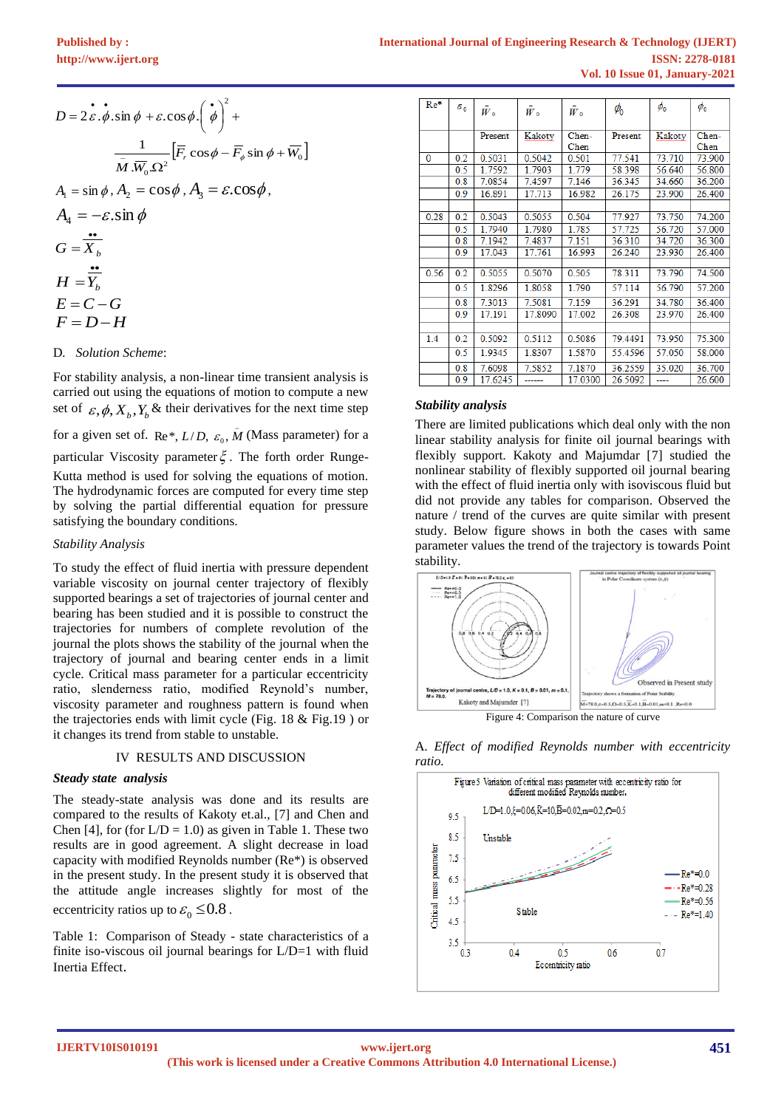| $D = 2\vec{\varepsilon} \cdot \vec{\phi} \cdot \sin \phi + \varepsilon \cdot \cos \phi \cdot (\vec{\phi})^2 +$                         |
|----------------------------------------------------------------------------------------------------------------------------------------|
| $\frac{1}{\overline{M}.\overline{W_0}.\Omega^2} \Big[ \overline{F_r} \cos \phi - \overline{F_{\phi}} \sin \phi + \overline{W_0} \Big]$ |
| $A_1 = \sin \phi$ , $A_2 = \cos \phi$ , $A_3 = \varepsilon \cdot \cos \phi$ ,                                                          |
| $A_4 = -\varepsilon \cdot \sin \phi$                                                                                                   |
| $G=X_k$                                                                                                                                |
| $H = Y_h$                                                                                                                              |
| $E = C - G$                                                                                                                            |

D*. Solution Scheme*:

 $F = D - H$ 

For stability analysis, a non-linear time transient analysis is carried out using the equations of motion to compute a new set of  $\varepsilon$ ,  $\phi$ ,  $X_b$ ,  $Y_b$  & their derivatives for the next time step

for a given set of. Re<sup>\*</sup>,  $L/D$ ,  $\varepsilon_0$ ,  $\overline{M}$  (Mass parameter) for a \_ particular Viscosity parameter  $\xi$ . The forth order Runge-

Kutta method is used for solving the equations of motion. The hydrodynamic forces are computed for every time step by solving the partial differential equation for pressure satisfying the boundary conditions.

## *Stability Analysis*

To study the effect of fluid inertia with pressure dependent variable viscosity on journal center trajectory of flexibly supported bearings a set of trajectories of journal center and bearing has been studied and it is possible to construct the trajectories for numbers of complete revolution of the journal the plots shows the stability of the journal when the trajectory of journal and bearing center ends in a limit cycle. Critical mass parameter for a particular eccentricity ratio, slenderness ratio, modified Reynold's number, viscosity parameter and roughness pattern is found when the trajectories ends with limit cycle (Fig. 18 & Fig.19 ) or it changes its trend from stable to unstable.

#### IV RESULTS AND DISCUSSION

#### *Steady state analysis*

The steady-state analysis was done and its results are compared to the results of Kakoty et.al., [7] and Chen and Chen [4], for (for  $L/D = 1.0$ ) as given in Table 1. These two results are in good agreement. A slight decrease in load capacity with modified Reynolds number (Re\*) is observed in the present study. In the present study it is observed that the attitude angle increases slightly for most of the eccentricity ratios up to  $\varepsilon_0 \leq 0.8$ .

Table 1: Comparison of Steady - state characteristics of a finite iso-viscous oil journal bearings for L/D=1 with fluid Inertia Effect.

| $Re*$        | $\varepsilon_{\scriptscriptstyle 0}$ |         |                |         |            | $\phi_{0}$ | $\phi_{0}$ |
|--------------|--------------------------------------|---------|----------------|---------|------------|------------|------------|
|              |                                      | $W_0$   | W <sub>0</sub> | $W_0$   | $\phi_{0}$ |            |            |
|              |                                      |         |                |         |            |            |            |
|              |                                      | Present | Kakoty         | Chen-   | Present    | Kakoty     | Chen-      |
|              |                                      |         |                | Chen    |            |            | Chen       |
| $\mathbf{0}$ | 0.2                                  | 0.5031  | 0.5042         | 0.501   | 77.541     | 73.710     | 73.900     |
|              | 0.5                                  | 1.7592  | 1.7903         | 1.779   | 58.398     | 56.640     | 56.800     |
|              | 0.8                                  | 7.0854  | 7.4597         | 7.146   | 36.345     | 34.660     | 36.200     |
|              | 0.9                                  | 16.891  | 17.713         | 16.982  | 26.175     | 23.900     | 26.400     |
|              |                                      |         |                |         |            |            |            |
| 0.28         | 0.2                                  | 0.5043  | 0.5055         | 0.504   | 77.927     | 73.750     | 74.200     |
|              | 0.5                                  | 1.7940  | 1.7980         | 1.785   | 57.725     | 56.720     | 57.000     |
|              | 0.8                                  | 7.1942  | 7.4837         | 7.151   | 36.310     | 34.720     | 36.300     |
|              | 0.9                                  | 17.043  | 17.761         | 16.993  | 26.240     | 23.930     | 26.400     |
|              |                                      |         |                |         |            |            |            |
| 0.56         | 0.2                                  | 0.5055  | 0.5070         | 0.505   | 78.311     | 73.790     | 74.500     |
|              | 0.5                                  | 1.8296  | 1.8058         | 1.790   | 57.114     | 56.790     | 57.200     |
|              | 0.8                                  | 7.3013  | 7.5081         | 7.159   | 36.291     | 34.780     | 36.400     |
|              | 0.9                                  | 17.191  | 17.8090        | 17.002  | 26.308     | 23.970     | 26.400     |
|              |                                      |         |                |         |            |            |            |
| 1.4          | 0.2                                  | 0.5092  | 0.5112         | 0.5086  | 79.4491    | 73.950     | 75.300     |
|              | 0.5                                  | 1.9345  | 1.8307         | 1.5870  | 55.4596    | 57.050     | 58.000     |
|              | 0.8                                  | 7.6098  | 7.5852         | 7.1870  | 36.2559    | 35.020     | 36.700     |
|              | 0.9                                  | 17.6245 |                | 17.0300 | 26.5092    | ----       | 26.600     |

#### *Stability analysis*

There are limited publications which deal only with the non linear stability analysis for finite oil journal bearings with flexibly support. Kakoty and Majumdar [7] studied the nonlinear stability of flexibly supported oil journal bearing with the effect of fluid inertia only with isoviscous fluid but did not provide any tables for comparison. Observed the nature / trend of the curves are quite similar with present study. Below figure shows in both the cases with same parameter values the trend of the trajectory is towards Point stability.



A*. Effect of modified Reynolds number with eccentricity ratio.*

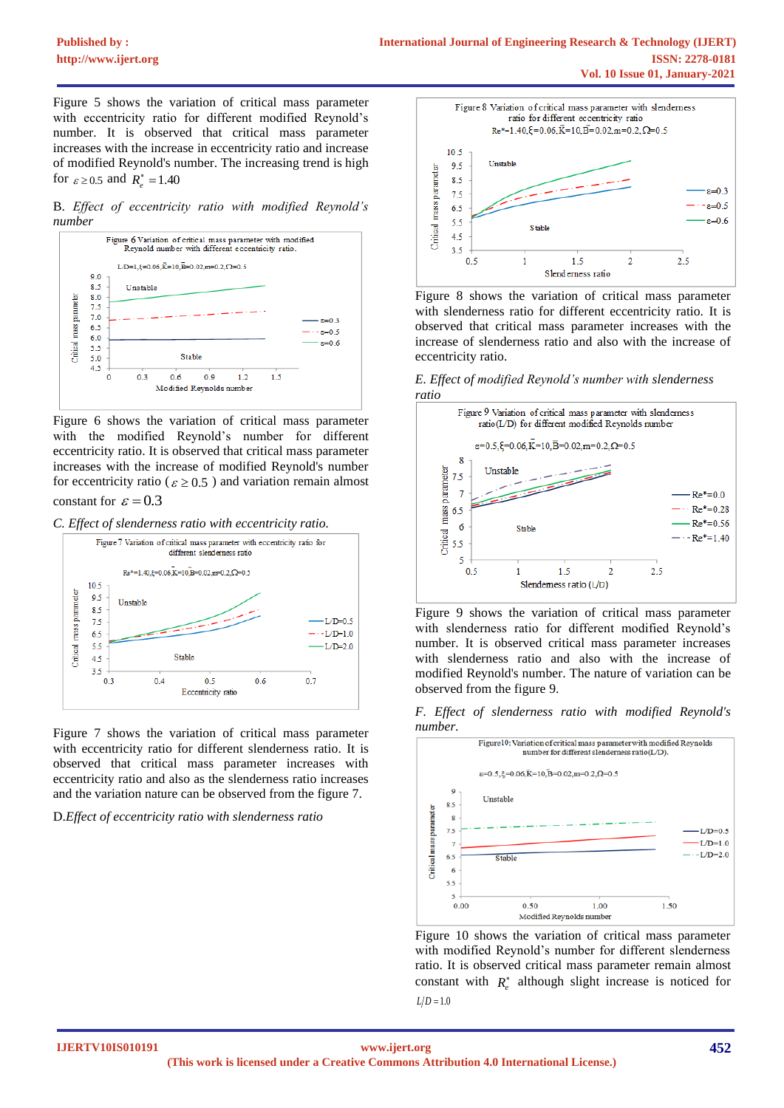Figure 5 shows the variation of critical mass parameter with eccentricity ratio for different modified Reynold's number. It is observed that critical mass parameter increases with the increase in eccentricity ratio and increase of modified Reynold's number. The increasing trend is high for  $\varepsilon \ge 0.5$  and  $R_e^* = 1.40$ 

B. *Effect of eccentricity ratio with modified Reynold's number*



Figure 6 shows the variation of critical mass parameter with the modified Reynold's number for different eccentricity ratio. It is observed that critical mass parameter increases with the increase of modified Reynold's number for eccentricity ratio ( $\varepsilon \ge 0.5$ ) and variation remain almost

constant for  $\varepsilon = 0.3$ 





Figure 7 shows the variation of critical mass parameter with eccentricity ratio for different slenderness ratio. It is observed that critical mass parameter increases with eccentricity ratio and also as the slenderness ratio increases and the variation nature can be observed from the figure 7.

D.*Effect of eccentricity ratio with slenderness ratio*



Figure 8 shows the variation of critical mass parameter with slenderness ratio for different eccentricity ratio. It is observed that critical mass parameter increases with the increase of slenderness ratio and also with the increase of eccentricity ratio.

*E. Effect of modified Reynold's number with slenderness ratio*



Figure 9 shows the variation of critical mass parameter with slenderness ratio for different modified Reynold's number. It is observed critical mass parameter increases with slenderness ratio and also with the increase of modified Reynold's number. The nature of variation can be observed from the figure 9.





Figure 10 shows the variation of critical mass parameter with modified Reynold's number for different slenderness ratio. It is observed critical mass parameter remain almost constant with  $R_e^*$  although slight increase is noticed for  $L/D = 1.0$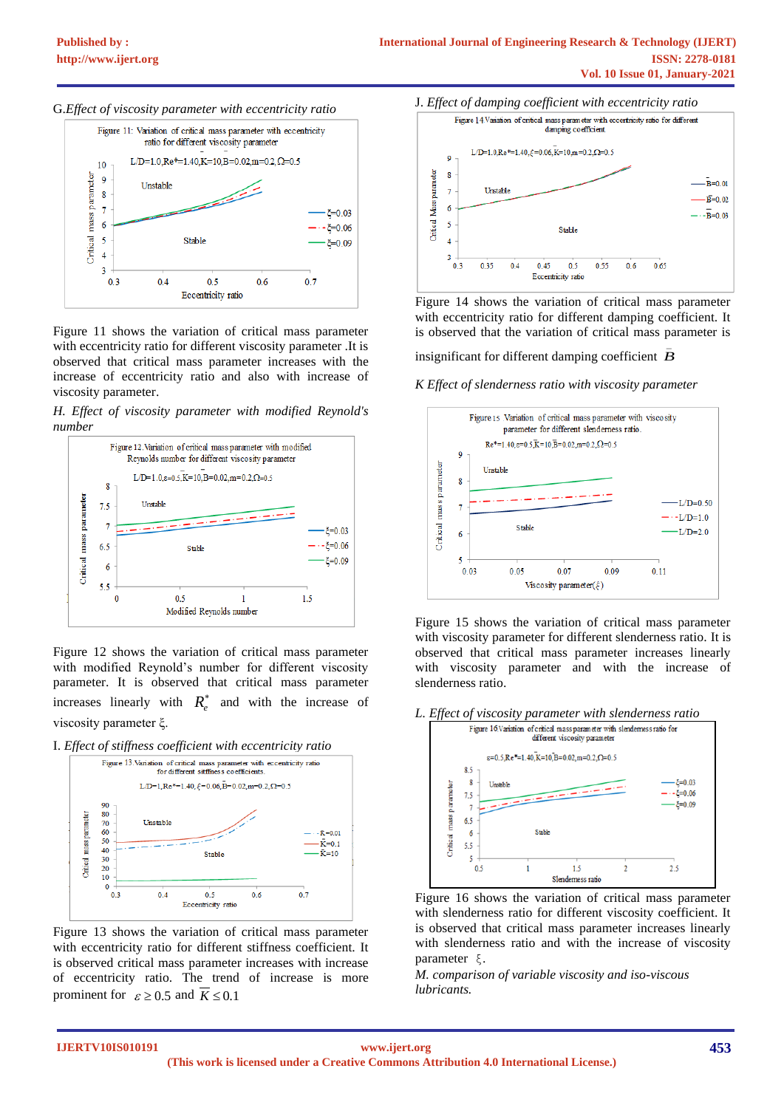



Figure 11 shows the variation of critical mass parameter with eccentricity ratio for different viscosity parameter .It is observed that critical mass parameter increases with the increase of eccentricity ratio and also with increase of viscosity parameter.





Figure 12 shows the variation of critical mass parameter with modified Reynold's number for different viscosity parameter. It is observed that critical mass parameter increases linearly with  $R_e^*$  and with the increase of viscosity parameter ξ.

I. *Effect of stiffness coefficient with eccentricity ratio*



Figure 13 shows the variation of critical mass parameter with eccentricity ratio for different stiffness coefficient. It is observed critical mass parameter increases with increase of eccentricity ratio. The trend of increase is more prominent for  $\varepsilon \ge 0.5$  and  $K \le 0.1$ 



Figure 14 shows the variation of critical mass parameter with eccentricity ratio for different damping coefficient. It is observed that the variation of critical mass parameter is

insignificant for different damping coefficient *B* \_

*K Effect of slenderness ratio with viscosity parameter* 



Figure 15 shows the variation of critical mass parameter with viscosity parameter for different slenderness ratio. It is observed that critical mass parameter increases linearly with viscosity parameter and with the increase of slenderness ratio.





Figure 16 shows the variation of critical mass parameter with slenderness ratio for different viscosity coefficient. It is observed that critical mass parameter increases linearly with slenderness ratio and with the increase of viscosity parameter ξ.

*M. comparison of variable viscosity and iso-viscous lubricants.*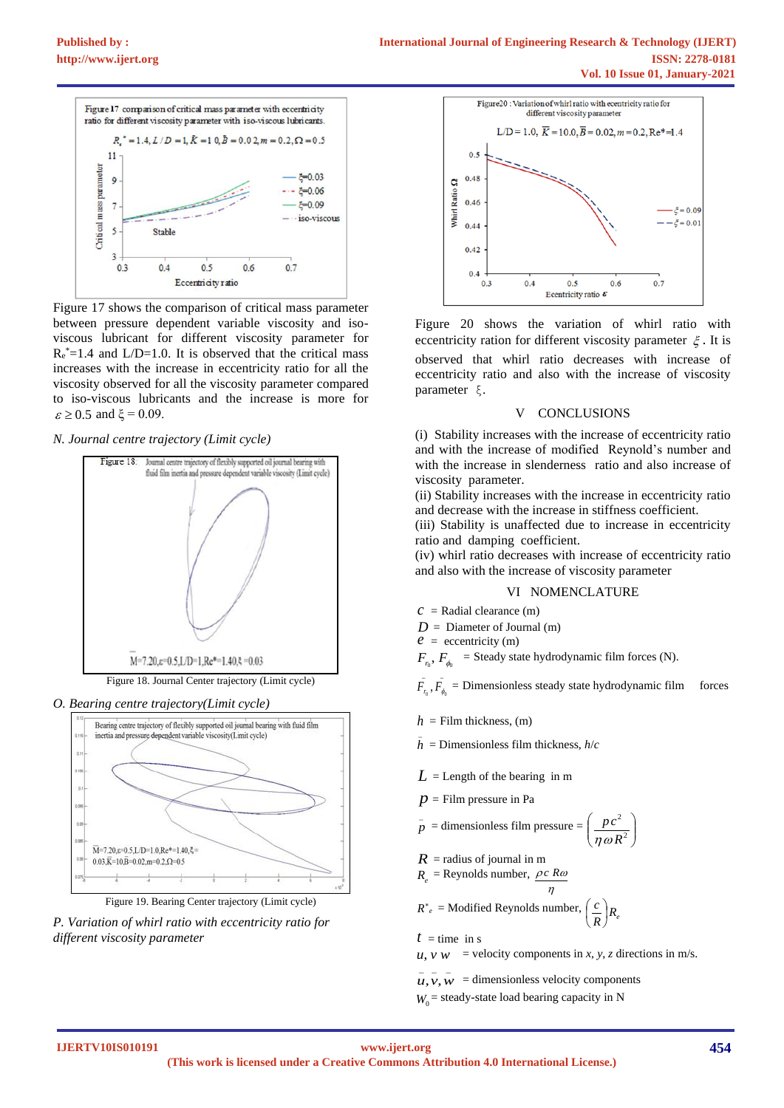

Figure 17 shows the comparison of critical mass parameter between pressure dependent variable viscosity and isoviscous lubricant for different viscosity parameter for  $R_e^*$ =1.4 and L/D=1.0. It is observed that the critical mass increases with the increase in eccentricity ratio for all the viscosity observed for all the viscosity parameter compared to iso-viscous lubricants and the increase is more for  $\varepsilon \ge 0.5$  and  $\xi = 0.09$ .

*N. Journal centre trajectory (Limit cycle)*



Figure 18. Journal Center trajectory (Limit cycle)

*O. Bearing centre trajectory(Limit cycle)*



Figure 19. Bearing Center trajectory (Limit cycle)

*P. Variation of whirl ratio with eccentricity ratio for different viscosity parameter*



Figure 20 shows the variation of whirl ratio with eccentricity ration for different viscosity parameter  $\xi$ . It is observed that whirl ratio decreases with increase of eccentricity ratio and also with the increase of viscosity parameter ξ.

#### V CONCLUSIONS

(i) Stability increases with the increase of eccentricity ratio and with the increase of modified Reynold's number and with the increase in slenderness ratio and also increase of viscosity parameter.

(ii) Stability increases with the increase in eccentricity ratio and decrease with the increase in stiffness coefficient.

(iii) Stability is unaffected due to increase in eccentricity ratio and damping coefficient.

(iv) whirl ratio decreases with increase of eccentricity ratio and also with the increase of viscosity parameter

#### VI NOMENCLATURE

 $c$  = Radial clearance (m)

 $D =$  Diameter of Journal (m)

*e =* eccentricity (m)

 $F_{r_0}$ ,  $F_{\phi_0}$  = Steady state hydrodynamic film forces (N).

 $\overline{a}$   $\overline{a}$  $F_{r_0}$ ,  $F_{\phi_0}$  = Dimensionless steady state hydrodynamic film forces

 $h =$  Film thickness, (m)

0 0

\_

- \_  $\bar{h}$  = Dimensionless film thickness,  $h/c$
- $L =$ Length of the bearing in m
- $p =$  Film pressure in Pa

$$
\bar{p} = \text{dimensionless film pressure} = \left(\frac{pc^2}{\eta \omega R^2}\right)
$$

 $R =$  radius of journal in m  $R_e$  = Reynolds number,  $\rho c \, R\omega$ 

 $\boldsymbol{n}$  $R^*_{e}$  = Modified Reynolds number,  $\left(\frac{c}{R}\right)R_e$  $\left(\frac{c}{R}\right)$ ſ

 $t =$  time in s

 $u, v, w$  = velocity components in *x*, *y*, *z* directions in m/s.

 $\overline{u}, \overline{v}, \overline{w}$  = dimensionless velocity components  $W_0$  = steady-state load bearing capacity in N